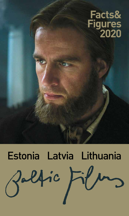## **Facts& Figures 2020**

# Estonia Latvia LithuaniaZalfic Fil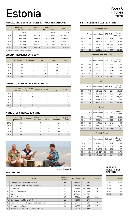## Estonia **Facts&**

#### **ANNUAL STATE SUPPORT FOR FILM INDUSTRY 2016-2020**

|      | Ministry of<br>Culture | Cultural<br>Endowment | Estonian<br>Film Institute | Total      |
|------|------------------------|-----------------------|----------------------------|------------|
|      | <b>EUR</b>             | <b>EUR</b>            | <b>EUR</b>                 | <b>EUR</b> |
| 2016 | 640000                 | 2004779               | 7745833*                   | 10 390 612 |
| 2017 | 685000                 | 2 153 824             | 9628178*                   | 12 467 002 |
| 2018 | 745000                 | 2029101               | 9 148 057*                 | 11 922 158 |
| 2019 | 965000                 | 2 130 523             | 7649395                    | 10744918   |
| 2020 | 950 405                | 2 150 538             | 8 3 3 1 3 0 1              | 11 432 244 |

\*Incl. Estonian Republic 100 Years film support

#### **CINEMA PREMIERES 2015-2019**

|      | Domestic | European | <b>USA</b> | Other | Total |
|------|----------|----------|------------|-------|-------|
| 2015 | 32       | 113      | 119        | 12    | 276   |
| 2016 | 18       | 136      | 111        | 13    | 278   |
| 2017 | 21       | 139      | 87         | 32    | 279   |
| 2018 | 28       | 152      | 106        | 22    | 308   |
| 2019 | 30       | 154      | 101        | 29    | 314   |

#### **DOMESTIC FILMS PRODUCED 2015-2019**

|      | Fiction<br>features                                           | Animated<br>shorts | <b>Documentaries</b> | Fiction<br>shorts | Total |  |  |
|------|---------------------------------------------------------------|--------------------|----------------------|-------------------|-------|--|--|
| 2015 | 7                                                             | 5                  | 43                   | 8                 | 63    |  |  |
| 2016 | 10                                                            | 8                  | 21                   |                   | 40    |  |  |
| 2017 | 14                                                            | 5                  | 31                   | 3                 | 53    |  |  |
| 2018 | 15                                                            | 3                  | 28                   | 8                 | 54    |  |  |
| 2019 | $14*$                                                         | 7                  | 32                   | 3                 | 56    |  |  |
|      | *Incl. 2 feature length animated films & 4 min co-productions |                    |                      |                   |       |  |  |

#### **NUMBER OF CINEMAS 2015-2019**

|      | Screening<br>places (all) | Cinemas | Multiplex<br>cinemas | <b>Screens</b><br>(all) | 3D<br>screens | Digital<br>screens |
|------|---------------------------|---------|----------------------|-------------------------|---------------|--------------------|
| 2015 | 49                        | 11      | 4                    | 81                      | 27            | 56                 |
| 2016 | 50                        | 12      | 5                    | 87                      | 33            | 62                 |
| 2017 | 52                        | 16      | 6                    | 98                      | 33            | 62                 |
| 2018 | 54                        | 18      | 7                    | 104                     | 39            | 80                 |
| 2019 | 56                        | 20      | 8                    | 111                     | 44            | 89                 |



Class Reunion 3

#### **TOP TEN 2019**

|     | Title                                      | Country of<br>Origin | Admissions GBO EUR |         | Format |
|-----|--------------------------------------------|----------------------|--------------------|---------|--------|
|     | Tõde ja õigus/Truth and Justice            | <b>EE</b>            | 267 588            | 1555491 |        |
| 2.  | Klassikokkutulek 3/Class Reunion 3         | <b>EE</b>            | 122 146            | 751 532 |        |
| 3.  | The Lion King                              | US                   | 112606             | 646566  | 3D     |
| 4.  | Secret Life of Pets 2                      | US                   | 109 364            | 547745  | 3D     |
| 5.  | Joker                                      | US                   | 100 423            | 700 702 |        |
| 6.  | Frozen 2                                   | US                   | 98 506             | 567481  | 3D     |
| 7.  | Ott Tänak: The Movie (DOC)                 | <b>EE</b>            | 96 232             | 568 671 |        |
| 8.  | How to Train Your Dragon: The Hidden World | US                   | 89766              | 483315  | 3D     |
| 9.  | Avengers: Endgame                          | US                   | 88 958             | 632518  | 3D     |
| 10. | Vanamehe film/Old Man Cartoon Movie        | EE                   | 86649              | 559023  |        |

#### **FILMS SCREENED (all) 2015-2019**

| Domestic films      |    |                |                      |       |  |  |
|---------------------|----|----------------|----------------------|-------|--|--|
| Admissions<br>Films |    | <b>GBO EUR</b> | Market<br>share adm. |       |  |  |
| 2015                | 64 | 350 635        | 1435253              | 11,33 |  |  |
| 2016                | 21 | 347036         | 1784600              | 10,54 |  |  |
| 2017                | 28 | 282421         | 1542174              | 8.04  |  |  |
| 2018                | 39 | 648585         | 3 3 5 1 4 0 3        | 17.85 |  |  |
| 2019                | 58 | 848266         | 4859602              | 23.00 |  |  |

#### European (non-domestic) Films Admissions GBO EUR Market share adm. 2015 159 701 793 3 410 303 21,91 2016 199 664 212 3 402 291 20,19 2017 179 834 503 4 460 508 23,77 2018 201 1 072 731 5 992 136 29,55 2019 199 670 352 3 699 190 18,19

|      | Films | Admissions | <b>GBO EUR</b> | Market<br>share adm. |
|------|-------|------------|----------------|----------------------|
| 2015 | 140   | 1961698    | 10 263 837     | 63.42                |
| 2016 | 138   | 2 144 186  | 11 595 452     | 64.25                |
| 2017 | 111   | 1933029    | 10 760 430     | 55.05                |
| 2018 | 138   | 1712875    | 10 104 050     | 47.17                |
| 2019 | 136   | 1874035    | 11 475 445     | 50.85                |

USA

#### Films Admissions GBO EUR Market share adm. 2015 16 79 156 457 346 2,56 2016 19 165 316 882 994 5,02 2017 37 460 979 2 636 372 13,13 2018 26 197 030 1 183 109 5,43 2019 35 293 175 1 766 151 7,96

**Other** 

Total All Films

|      | Films | Admissions    | <b>GBO EUR</b> | Adm. per<br>capita |
|------|-------|---------------|----------------|--------------------|
| 2015 | 379   | 3093281       | 15 566 739     | 2,36               |
| 2016 | 377   | 3 2 9 0 7 5 0 | 17 665 337     | 2.54               |
| 2017 | 355   | 3510932       | 19 399 484     | 2.67               |
| 2018 | 404   | 3631221       | 20 630 322     | 2.75               |
| 2019 | 428   | 3685828       | 21800387       | 2,78               |

#### **AVERAGE TICKET PRICE 2015-2019**

|      | <b>EUR</b> |
|------|------------|
| 2015 | 5,00       |
| 2016 | 5,37       |
| 2017 | 5,53       |
| 2018 | 5,68       |
| 2019 | 5.91       |
|      |            |

### **Figures 2020**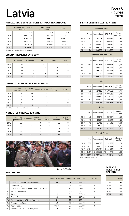## Latvia **Facts&**

#### **ANNUAL STATE SUPPORT FOR FILM INDUSTRY 2016-2020**

|      | National Film Centre<br>of Latvia | <b>Culture Capital</b><br>Foundation | Total      |
|------|-----------------------------------|--------------------------------------|------------|
|      | <b>EUR</b>                        | EUR                                  | <b>EUR</b> |
| 2016 | 5 862 587*                        | 907800                               | 6770387    |
| 2017 | 9795965*                          | 666 273                              | 10 462 238 |
| 2018 | 6 012 776*                        | 996 685                              | 7009461    |
| 2019 | 5462576                           | 934803                               | 6397379    |
| 2020 | 6327869                           | 954987                               | 7 211 356  |

\*Incl. Latvian Republic 100 Years film support

#### **CINEMA PREMIERES 2015-2019**

|      | Domestic | European | <b>USA</b> | Other | Total |
|------|----------|----------|------------|-------|-------|
| 2015 | 25       | 116      | 133        | 16    | 291   |
| 2016 | 18       | 92       | 123        | 9     | 242   |
| 2017 | 22       | 99       | 122        | 12    | 255   |
| 2018 | 30       | 110      | 116        | 15    | 271   |
| 2019 | 37       | 101      | 112        | 16    | 267   |

#### **DOMESTIC FILMS PRODUCED 2015-2019**

|      | Fiction<br>features                                           | Animated<br>shorts | Documentaries | Fiction<br>shorts | Total |  |  |
|------|---------------------------------------------------------------|--------------------|---------------|-------------------|-------|--|--|
| 2015 | 3                                                             | 11                 | 23            | 16                | 56    |  |  |
| 2016 | 7                                                             | 6                  | 23            | 6                 | 42    |  |  |
| 2017 | 6                                                             | 8                  | 29            | $\mathfrak{p}$    | 45    |  |  |
| 2018 | 11                                                            | 6                  | 30            |                   | 48    |  |  |
| 2019 | $18*$                                                         | 4                  | 32            | 5                 | 59    |  |  |
|      | *Incl. 3 feature length animated films & 4 min co-productions |                    |               |                   |       |  |  |

#### **NUMBER OF CINEMAS 2015-2019**

|      | Screening<br>places (all) | Cinemas | Multiplex<br>cinemas | <b>Screens</b><br>(all) | 3D<br>screens | Digital<br>screens |
|------|---------------------------|---------|----------------------|-------------------------|---------------|--------------------|
| 2015 | 22                        | 16      | 4                    | 58                      | 25            | 57                 |
| 2016 | 25                        | 18      | 4                    | 62                      | 25            | 60                 |
| 2017 | 23                        | 18      | 4                    | 61                      | 25            | 60                 |
| 2018 | 27                        | 19      | 4                    | 66                      | 28            | 65                 |
| 2019 | 34                        | 20      | 5                    | 81                      | 36            | 72                 |



#### **FILMS SCREENED (all) 2015-2019**

| Domestic films |       |            |                |                       |  |  |
|----------------|-------|------------|----------------|-----------------------|--|--|
|                | Films | Admissions | <b>GBO EUR</b> | Market<br>lshare adm. |  |  |
| 2015           | 91    | 90 128     | 239 465        | 3,81                  |  |  |
| 2016           | 33    | 185 782    | 656 670        | 7,38                  |  |  |
| 2017           | 28    | 194 083    | 736976         | 7.84                  |  |  |
| 2018           | 48    | 556832     | 2503019        | 22,06                 |  |  |
| 2019           | 54    | 548938     | 2504132        | 20.16                 |  |  |

#### European (non-domestic)

|      | Films | Admissions | <b>GBO EUR</b> | Market<br>share adm |  |  |
|------|-------|------------|----------------|---------------------|--|--|
| 2015 | 257   | 446894     | 2022661        | 18.87               |  |  |
| 2016 | 117   | 357470     | 1 724 778      | 14.21               |  |  |
| 2017 | 112   | 438 725    | 2 2 3 8 7 2 6  | 17,71               |  |  |
| 2018 | 140   | 344 483    | 1803128        | 13,65               |  |  |
| 2019 | 117   | 356 645    | 1985625        | 13,09               |  |  |
| USA  |       |            |                |                     |  |  |

|      | <b>Films</b> | Admissions | <b>GBO EUR</b> | Market<br>share adm. |
|------|--------------|------------|----------------|----------------------|
| 2015 | 165          | 1769337    | 8 690 753      | 74.71                |
| 2016 | 146          | 1962126    | 9777866        | 77.98                |
| 2017 | 142          | 1757963    | 9469882        | 70.97                |
| 2018 | 142          | 1552830    | 8 658 161      | 61,53                |
| 2019 | 130          | 1765099    | 10 211 619     | 64.81                |
|      |              |            |                |                      |

**Other** 

#### Films Admissions GBO EUR Market share adm. 2015 45 62 019 289 007 2,62 2016 13 10 881 50 406 0,43 2017 13 86 180 414 913 3,48 2018 15 69 455 329 655 2,75 2019 19 52 740 261 302 1,94

#### Total All Films

|      | Films  | Admissions | <b>GBO EUR</b> | Adm. per<br>capita |
|------|--------|------------|----------------|--------------------|
| 2015 | 557    | 2368378    | 11 241 887     | 1,20               |
| 2016 | $309*$ | 2516259    | 12 209 719     | 1.28               |
| 2017 | 295*   | 2 476 951  | 12860497       | 1.27               |
| 2018 | $345*$ | 2523600    | 13 293 972     | 1.30               |
| 2019 | $320*$ | 2723422    | 14 962 678     | 1.43               |

\*Excl. film festival screenings

#### **AVERAGE 2015-2019**

#### **TOP TEN 2019**

|     | Title                                      | Country of Origin Admissions |         | <b>GBO EUR</b> | Format |
|-----|--------------------------------------------|------------------------------|---------|----------------|--------|
|     | Dvēselu putenis/Blizzard of Souls          | LV                           | 226 984 | 1 143 826      |        |
| 2.  | The Lion King                              | US                           | 109821  | 591 195        | 3D     |
| 3.  | How to Train Your Dragon: The Hidden World | US                           | 101 182 | 527429         | 3D     |
| 4.  | Secret Life of Pets 2                      | US                           | 95487   | 445 267        | 3D     |
| 5.  | Joker                                      | US                           | 86599   | 560 693        |        |
| 6.  | Frozen 2                                   | US                           | 82 901  | 443240         | 3D     |
| 7.  | Klases salidojums/Class Reunion            | LV                           | 80 967  | 391574         |        |
| 8.  | Avengers: Endgame                          | US                           | 72596   | 509 102        | 3D     |
| 9.  | Abominable                                 | US/CN                        | 57404   | 292388         | 3D     |
| 10. | Once Upon a Time in Hollywood              | US                           | 51 675  | 332534         |        |

## **TICKET PRICE**

|      | <b>EUR</b> |
|------|------------|
| 2015 | 4.81       |
| 2016 | 4.85       |
| 2017 | 5,19       |
| 2018 | 5,27       |
| 2019 | 5.49       |

### **Figures 2020**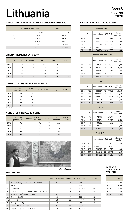## Lithuania **Facts&**

#### **ANNUAL STATE SUPPORT FOR FILM INDUSTRY 2016-2020**

|      | Lithuanian Film Centre | Total      |
|------|------------------------|------------|
|      | <b>EUR</b>             | <b>EUR</b> |
| 2016 | 3519000                | 3519000    |
| 2017 | 4619000                | 4619000    |
| 2018 | 6 4 2 3 0 0 0          | 6 423 000  |
| 2019 | 6431000                | 6431000    |
| 2020 | 6441000                | 6441000    |

#### **CINEMA PREMIERES 2015-2019**

|      | Domestic | European | <b>USA</b> | Other | Total |
|------|----------|----------|------------|-------|-------|
| 2015 | 10       | 82       | 112        | 8     | 212   |
| 2016 | 13       | 69       | 128        | 7     | 217   |
| 2017 | 11       | 92       | 124        | 9     | 236   |
| 2018 | 21       | 124      | 139        | 15    | 299   |
| 2019 | 27       | 134      | 107        | 20    | 288   |

#### **DOMESTIC FILMS PRODUCED 2015-2019**

|      | Fiction<br>features | Animated<br>shorts | Documentaries | Fiction<br>shorts | Total |
|------|---------------------|--------------------|---------------|-------------------|-------|
| 2015 | 11                  | 4                  | 11            | o                 | 35    |
| 2016 | 21                  | 10                 | 18            | 9                 | 58    |
| 2017 | 15                  | 7                  | 5             | 14                |       |
| 2018 | 21                  | 7                  | 22            | 4                 | 54    |
| 2019 | $17*$               | 7                  | 16            | 12                | 52    |

\*Incl. 2 min co-productions

#### **NUMBER OF CINEMAS 2015-2019**

|      | Screening<br>places (all) | Cinemas | Multiplex<br>cinemas | <b>Screens</b> | 3D<br>screens | Digital<br>screens |
|------|---------------------------|---------|----------------------|----------------|---------------|--------------------|
| 2015 | 42                        | 32      | 10                   | 95             | n/a           | 44                 |
| 2016 | 39                        | 29      | 10                   | 79             | 25            | 54                 |
| 2017 | 39                        | 29      | 10                   | 79             | 25            | 54                 |
| 2018 | 39                        | 28      | 10                   | 84             | 25            | 54                 |
| 2019 | 37                        | 26      | 10                   | 82             | 25            | 54                 |



Nova Lituania

#### **TOP TEN 2019**

|     | Title                                      | Country of Origin Admissions |         | <b>GBO EUR</b> | Format |
|-----|--------------------------------------------|------------------------------|---------|----------------|--------|
|     | Pats sau milijonierius/Fake Millionaire    | LT                           | 204860  | 1 2 5 9 2 6 2  |        |
| 2.  | Joker                                      | US                           | 155 986 | 982356         |        |
| 3.  | The Lion King                              | US                           | 154 363 | 815863         | 3D     |
| 4.  | How to Train Your Dragon: The Hidden World | US                           | 134 218 | 674098         | 3D     |
| 5.  | Ir visi ju vyrai/And All the Men           | LT                           | 121 123 | 690896         |        |
| 6.  | Secret Life of Pets 2                      | US                           | 111 307 | 522 173        | 3D     |
| 7.  | Frozen 2                                   | US                           | 99784   | 511 961        | 3D     |
| 8.  | Avengers: Endgame                          | US                           | 92523   | 566245         | 3D     |
| 9.  | Pasmerkti, Kauno romanas                   | LT                           | 88763   | 508889         |        |
| 10. | Once Upon a Time in Hollywood              | US                           | 76044   | 457353         |        |

#### **FILMS SCREENED (all) 2015-2019**

| Domestic films |       |            |                |                       |
|----------------|-------|------------|----------------|-----------------------|
|                | Films | Admissions | <b>GBO EUR</b> | Market<br>lshare adm. |
| 2015           | 21    | 465370     | 2 126 232      | 13.81                 |
| 2016           | 17    | 699 207    | 3463809        | 19.50                 |
| 2017           | 13    | 861827     | 4527528        | 21,47                 |
| 2018           | 26    | 1 173 713  | 6 250 538      | 27,51                 |
| 2019           | 35    | 788 284    | 4417603        | 19,03                 |

### European (non-domestic)

|      | Films | Admissions | <b>GBO EUR</b> | Market<br>share adm. |
|------|-------|------------|----------------|----------------------|
| 2015 | 118   | 638345     | 2740575        | 17.80                |
| 2016 | 104   | 336493     | 1509654        | 8,50                 |
| 2017 | 110   | 528 081    | 2367564        | 13.16                |
| 2018 | 150   | 555895     | 2658350        | 13,03                |
| 2019 | 183   | 715349     | 3546828        | 17.27                |
| USA  |       |            |                |                      |

|      | Films | Admissions | <b>GBO EUR</b> | Market<br>share adm. |
|------|-------|------------|----------------|----------------------|
| 2015 | 135   | 2 132 821  | 10077136       | 65,48                |
| 2016 | 162   | 2 613 001  | 12 671 608     | 71,50                |
| 2017 | 158   | 2593630    | 13 160 705     | 64.62                |
| 2018 | 160   | 2454136    | 13 167 184     | 57.53                |
| 2019 | 140   | 2469818    | 13 695 929     | 59.63                |
|      |       |            |                |                      |

**Other** 

#### Films Admissions GBO EUR Market share adm. 2015 16 93 982 447 963 2,91 2016 8 19 576 79 198 0,50 2017 9 30 387 146 298 0,76 2018 15 82 298 368 039 1,93 2019 21 168 449 834 905 4,07

Total All Films

|      | Films | Admissions    | <b>GBO EUR</b> | Adm. per<br>capita |
|------|-------|---------------|----------------|--------------------|
| 2015 | 290   | 3 3 3 0 5 1 8 | 15 391 905     | 1.13               |
| 2016 | 291   | 3668370       | 17 724 516     | 1,29               |
| 2017 | 290   | 4013925       | 20 20 20 95    | 1,43               |
| 2018 | 351   | 4266042       | 22 444 111     | 1.53               |
| 2019 | 379   | 4 141 900     | 22 495 265     | 1.48               |

#### **AVERAGE TICKET PRICE 2015-2019**

| 2015<br>4,62 |
|--------------|
| 2016<br>4.83 |
| 2017<br>5.03 |
| 5,26<br>2018 |
| 2019<br>5,43 |

### **Figures 2020**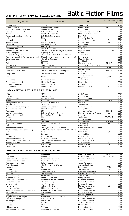## ESTONIAN FICTION FEATURES RELEASED 2018-2019 **Baltic Fiction Films**

| <b>Original Title</b>                 | <b>English Title</b>                     | <b>Director</b>                      | Co-production Year of |         |
|---------------------------------------|------------------------------------------|--------------------------------------|-----------------------|---------|
|                                       |                                          |                                      | countries             | Release |
| Tõde ja õigus                         | Truth and Justice                        | <b>Tanel Toom</b>                    |                       | 2019    |
| Skandinaavia vaikus                   | Scandinavian Silence                     | Martti Helde                         | FR/BE                 | 2019    |
| Klassikokkutulek 3. Ristiisad         | <b>Class Reunion 3</b>                   | René Vilbre                          |                       | 2019    |
| Lotte ja kadunud lohed                | Lotte and the Lost Dragons               | Janno Põldma, Heiki Ernits           | LV                    | 2019    |
| Vanamehe film                         | Old Man Cartoon Movie                    | Mikk Mägi, Oskar Lehemaa             |                       | 2019    |
| Johannes Pääsukese tõeline elu        | Self-Made Cameraman                      | Hardi Volmer                         |                       | 2019    |
| Mehed                                 | Men                                      | Gerda Kordemets                      |                       | 2019    |
| Kohtunik                              | Your Honor                               | Andres Puustusmaa                    | <b>RU</b>             | 2019    |
| Maria paradiis                        | Maria's Paradise                         | Zaida Bergoth                        | F1                    | 2019    |
| Ükssarvik                             | <b>Chasing Unicorns</b>                  | Rain Rannu                           |                       | 2019    |
| Kõhedad muinaslood                    | Eerie Fairy Tales                        | Mart Sander                          |                       | 2019    |
| Ühemeheshow                           | Chuck Band Show                          | Al Wallcat                           |                       | 2019    |
| Jeesus juhatab sind kiirteele         | Jesus Shows You the Way to Highway       | Miguel Llanso                        | ES/LT/ET/LV           | 2019    |
| Kiirtee põrgusse                      | Highway to Hell                          | Urmas E. Liiv                        |                       | 2019    |
| Pilvede all. Neljas õde               | The Fourth Sister. Under the Clouds      | <b>Toomas Kirss</b>                  |                       | 2018    |
| Klassikokkutulek 2. Pulmad ja matused | Class Reunion 2: A Wedding and a Funeral | René Vilbre                          |                       | 2018    |
| Seltsimees laps                       | The Little Comrade                       | Moonika Siimets                      |                       | 2018    |
| Portugal                              | Portugal                                 | Lauri Lagle                          |                       | 2018    |
| Tuliliilia                            | Fire Lily                                | Maria Avdjushko                      | FR/BE                 | 2018    |
| Võta või jäta                         | Take It or Leave It                      | Liina Trishkina-Vanhatalo            |                       | 2018    |
| Kapten Morten lollide laeval          | Captain Morten and the Spider Queen      | Kaspar Jancis                        | IE/BE                 | 2018    |
| Mees, kes üllatas kõiki               | The Man Who Surprised Everyone           | Natasha Merkulova.<br>Aleksey Chupov | RU/FR                 | 2018    |
| Põrgu Jaan                            | The Riddle of Jaan Niemand               | Kaur Kokk                            |                       | 2018    |
| Mihkel                                | Mihkel                                   | Ari Alexander Ergis<br>Magnusson     | IS/NO                 | 2018    |
| Oigus õnnele                          | Deserved Happiness                       | <b>Toomas Kirss</b>                  |                       | 2018    |
| Elu hammasratastel                    | Living the Dream                         | Henrik Normann                       |                       | 2018    |
| Eia jõulud Tondikakul                 | <b>Phantom Owl Forest</b>                | Anu Aun                              |                       | 2018    |
| Lõbus perekond                        | <b>Funny Family</b>                      | Mihhail Pogosov                      | <b>RU</b>             | 2018    |

#### **LATVIAN FICTION FEATURES RELEASED 2018-2019**

| 1906                                | 1906                                        | Gatis Smits                 |          | 2019 |
|-------------------------------------|---------------------------------------------|-----------------------------|----------|------|
| <b>Blakus</b>                       | Side by Side                                | Alise Zarina                |          | 2019 |
|                                     | <b>Blizzard of Souls</b>                    |                             |          | 2019 |
| Dvēseļu putenis                     |                                             | Dzintars Dreibergs          |          |      |
| <b>Humorists</b>                    | Humorist                                    | Mihails Idovs               | CZ/RU    | 2019 |
| Jaungada taksometrs 2               | New Year's Eve Taxi 2                       | Māris Martinsons            |          | 2019 |
| Jelgava '94                         | Jelgava '94                                 | Jānis Ābele                 |          | 2019 |
| Jēkabs, Mimmi un runājošie suņi     | Jacob, Mimmi and the Talking Dogs           | Edmunds Jansons             | PL       | 2019 |
| Klases salidojums                   | <b>Class Reunion</b>                        | Andrejs Ēkis                |          | 2019 |
| Klusā upe                           | <b>Still River</b>                          | Angelos Frantzis            | GR/FR    | 2019 |
| Lote un pazudušie pūķi              | Lotte and the Lost Dragons                  | Heiki Ernits, Janno Põldma  | EE.      | 2019 |
| Nekas mūs neapturēs                 | Nothing Can Stop Us Now                     | Andris Gauja                |          | 2019 |
| Olegs                               | Oleg                                        | Juris Kursietis             | BE/FR/LT | 2019 |
| Projām                              | Away                                        | Gints Zilbalodis            |          | 2019 |
| Sonāte                              | The Sonata                                  | Andrew Desmond              | FR/RU/GB | 2019 |
| Suni nevalkā bikses                 | Dogs Don't Wear Pants                       | J-P Valkeapää               | F1       | 2019 |
| Tur                                 | There                                       | <b>Uldis Cipsts</b>         |          | 2019 |
| Vecā dārza noslēpums                | The Mystery of the Old Garden               | Olafs Okonovs, Gunita Groša |          | 2019 |
| 7 miljardi gadu pirms pasaules gala | 7 Billion Years Before the End of the World | Jānis Ābele                 |          | 2018 |
| Bille                               | Bille                                       | Ināra Kolmane               | LT/CZ    | 2018 |
| Blēži                               | Swindlers                                   | Andrejs Ēķis                |          | 2018 |
| Homo Novus                          | Homo Novus                                  | Anna Viduleja               |          | 2018 |
| Jaungada taksometrs                 | New Year's Eve Taxi                         | Māris Martinsons            |          | 2018 |
| Kriminālās ekselences fonds         | The Criminal Excellency Fund                | <b>Oskars Rupenheits</b>    |          | 2018 |
| Nameja gredzens                     | The Pagan King                              | Aigars Grauba               | GB       | 2018 |
| Paradīze 89                         | Paradise 89                                 | Madara Dišlere              | DE       | 2018 |
| Tēvs Nakts                          | The Mover                                   | Dāvis Sīmanis               |          | 2018 |

#### **LITHUANIAN FEATURE FILMS RELEASED 2018-2019**

| Partenonas                         | Parthenon                    | Mantas Kvedaravičius | FR/UA       | 2019 |
|------------------------------------|------------------------------|----------------------|-------------|------|
| Sutemose                           | In the Dusk                  | Šarūnas Bartas       | LV/FR/CZ/RS | 2019 |
| Pasmerkti. Pajūrio džiazas         | Pasmerkti. Pajūrio džiazas   | Ramūnas Rudokas      |             | 2019 |
| Leónė. Bėganti į šviesą            | Leónė. Bėganti į šviesą      | Žilvinas Žusinas     |             | 2019 |
| Pats sau milijonierius             | <b>Fake Millionaire</b>      | Tadas Vidmantas      |             | 2019 |
| Kita tylos pusė                    | The Other Side of Silence    | Algimantas Puipa     |             | 2019 |
| Nematoma                           | Invisible                    | Ignas Jonynas        | LV/ES       | 2019 |
| Gimtinė                            | Motherland                   | Tomas Vengris        | LV          | 2019 |
| Cia buvo Saša                      | Sasha Was Here               | Ernestas Jankauskas  |             | 2019 |
| Vestuvės                           | The Wedding                  | Vygantas Bachmackij  |             | 2019 |
| Pasiutusi meilė                    | Foam at the Mouth            | Jānis Nords          | LV/PL       | 2019 |
| Išgyventi vasarą                   | <b>Summer Survivors</b>      | Marija Kavtaradzė    |             | 2019 |
| Pasmerkti, Kauno romanas           | Pasmerkti, Kauno romanas     | Ramūnas Rudokas      |             | 2019 |
| Purpurinis rūkas                   | The Purple Fog               | Raimundas Banionis   |             | 2019 |
| Ir visi ju vyrai                   | And All the Men              | Donatas Ulvydas      |             | 2019 |
| Tarp pilkų debesų/                 | Ashes in the Snow            | Marius Markevičius   | US          | 2018 |
| Lietuviški svingeriai              | Lithuanian Swingers          | Tadas Vidmantas      |             | 2018 |
| Moterys meluoja geriau. Robertėlis | Women Lie Better: Robert     | Andrius Žiūrauskas   |             | 2018 |
| Pelėdu kalnas                      | Owl Mountain                 | Audrius Juzėnas      |             | 2018 |
| Melagiai                           | Liars                        | Marius Kunigėnas     |             | 2018 |
| Grąžinti nepriklausomybę           | Bring the Independence Back  | Saulius Baradinskas  |             | 2018 |
| Tarp mūsų, mergaičių               | Between Us Girls             | Kestutis Gadavičius  |             | 2018 |
| Aš Žvaigždė                        | I am a Star                  | Robertas Kuliūnas    |             | 2018 |
| Širdys                             | Hearts                       | Justinas Krisiūnas   |             | 2018 |
| Pliusas                            | Plus                         | Mark Goldman         |             | 2018 |
| 100 metu kartu                     | 100 Years Together           | Edita Kabaraité      |             | 2018 |
| Kvėpavimas į marmurą               | <b>Breathing into Marble</b> | Giedrė Beinoriūtė    | LV          | 2018 |